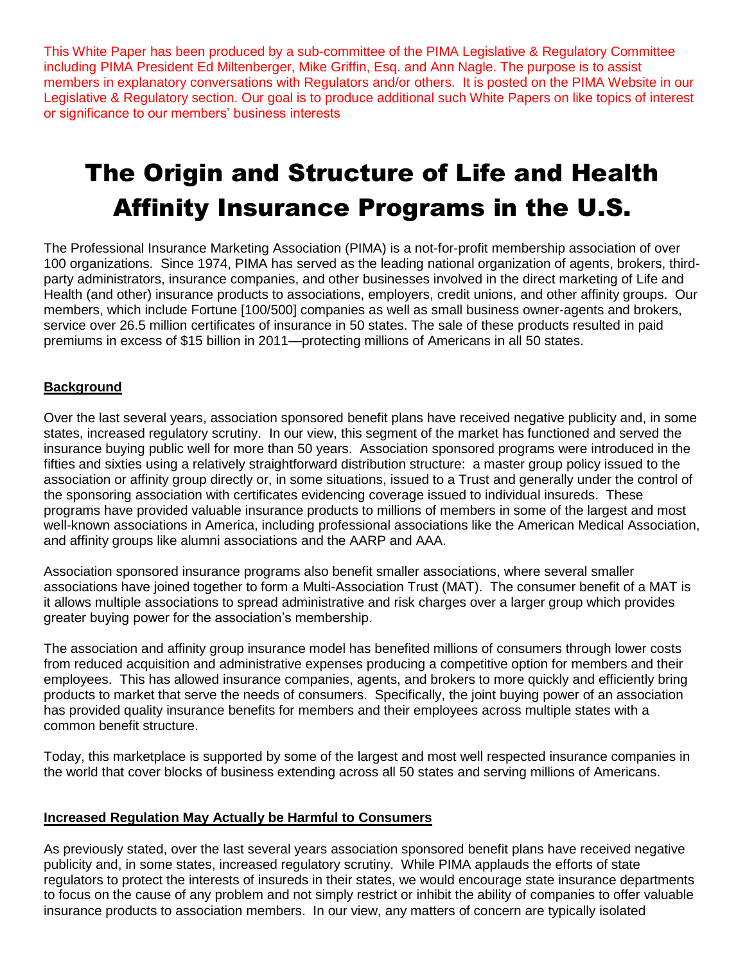This White Paper has been produced by a sub-committee of the PIMA Legislative & Regulatory Committee including PIMA President Ed Miltenberger, Mike Griffin, Esq. and Ann Nagle. The purpose is to assist members in explanatory conversations with Regulators and/or others. It is posted on the PIMA Website in our Legislative & Regulatory section. Our goal is to produce additional such White Papers on like topics of interest or significance to our members' business interests

## The Origin and Structure of Life and Health Affinity Insurance Programs in the U.S.

The Professional Insurance Marketing Association (PIMA) is a not-for-profit membership association of over 100 organizations. Since 1974, PIMA has served as the leading national organization of agents, brokers, thirdparty administrators, insurance companies, and other businesses involved in the direct marketing of Life and Health (and other) insurance products to associations, employers, credit unions, and other affinity groups. Our members, which include Fortune [100/500] companies as well as small business owner-agents and brokers, service over 26.5 million certificates of insurance in 50 states. The sale of these products resulted in paid premiums in excess of \$15 billion in 2011—protecting millions of Americans in all 50 states.

## **Background**

Over the last several years, association sponsored benefit plans have received negative publicity and, in some states, increased regulatory scrutiny. In our view, this segment of the market has functioned and served the insurance buying public well for more than 50 years. Association sponsored programs were introduced in the fifties and sixties using a relatively straightforward distribution structure: a master group policy issued to the association or affinity group directly or, in some situations, issued to a Trust and generally under the control of the sponsoring association with certificates evidencing coverage issued to individual insureds. These programs have provided valuable insurance products to millions of members in some of the largest and most well-known associations in America, including professional associations like the American Medical Association, and affinity groups like alumni associations and the AARP and AAA.

Association sponsored insurance programs also benefit smaller associations, where several smaller associations have joined together to form a Multi-Association Trust (MAT). The consumer benefit of a MAT is it allows multiple associations to spread administrative and risk charges over a larger group which provides greater buying power for the association's membership.

The association and affinity group insurance model has benefited millions of consumers through lower costs from reduced acquisition and administrative expenses producing a competitive option for members and their employees. This has allowed insurance companies, agents, and brokers to more quickly and efficiently bring products to market that serve the needs of consumers. Specifically, the joint buying power of an association has provided quality insurance benefits for members and their employees across multiple states with a common benefit structure.

Today, this marketplace is supported by some of the largest and most well respected insurance companies in the world that cover blocks of business extending across all 50 states and serving millions of Americans.

## **Increased Regulation May Actually be Harmful to Consumers**

As previously stated, over the last several years association sponsored benefit plans have received negative publicity and, in some states, increased regulatory scrutiny. While PIMA applauds the efforts of state regulators to protect the interests of insureds in their states, we would encourage state insurance departments to focus on the cause of any problem and not simply restrict or inhibit the ability of companies to offer valuable insurance products to association members. In our view, any matters of concern are typically isolated